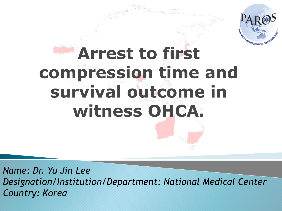

*Name: Dr. Yu Jin Lee Designation/Institution/Department: National Medical Center Country: Korea*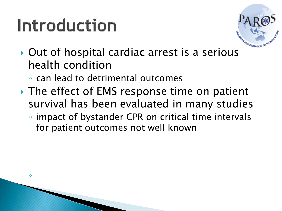#### Introduction

◦



- ▶ Out of hospital cardiac arrest is a serious health condition
	- can lead to detrimental outcomes
- **► The effect of EMS response time on patient** survival has been evaluated in many studies
	- impact of bystander CPR on critical time intervals for patient outcomes not well known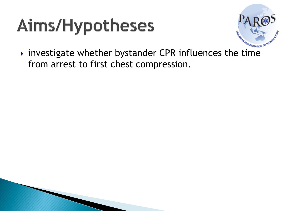# Aims/Hypotheses



 $\rightarrow$  investigate whether bystander CPR influences the time from arrest to first chest compression.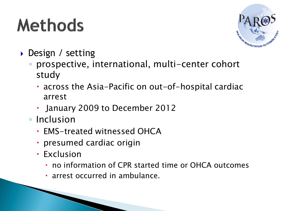# **Methods**



- Design / setting
	- prospective, international, multi-center cohort study
		- across the Asia-Pacific on out-of-hospital cardiac arrest
		- January 2009 to December 2012
	- Inclusion
		- EMS-treated witnessed OHCA
		- presumed cardiac origin
		- Exclusion
			- no information of CPR started time or OHCA outcomes
			- arrest occurred in ambulance.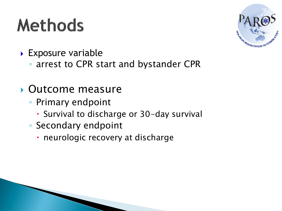### **Methods**



- **Exposure variable** 
	- arrest to CPR start and bystander CPR

#### Outcome measure

- Primary endpoint
	- Survival to discharge or 30-day survival
- Secondary endpoint
	- neurologic recovery at discharge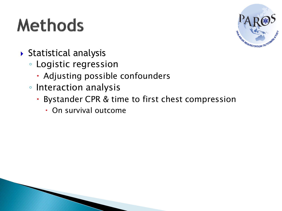# **Methods**



- Statistical analysis
	- Logistic regression
		- Adjusting possible confounders
	- Interaction analysis
		- Bystander CPR & time to first chest compression
			- On survival outcome